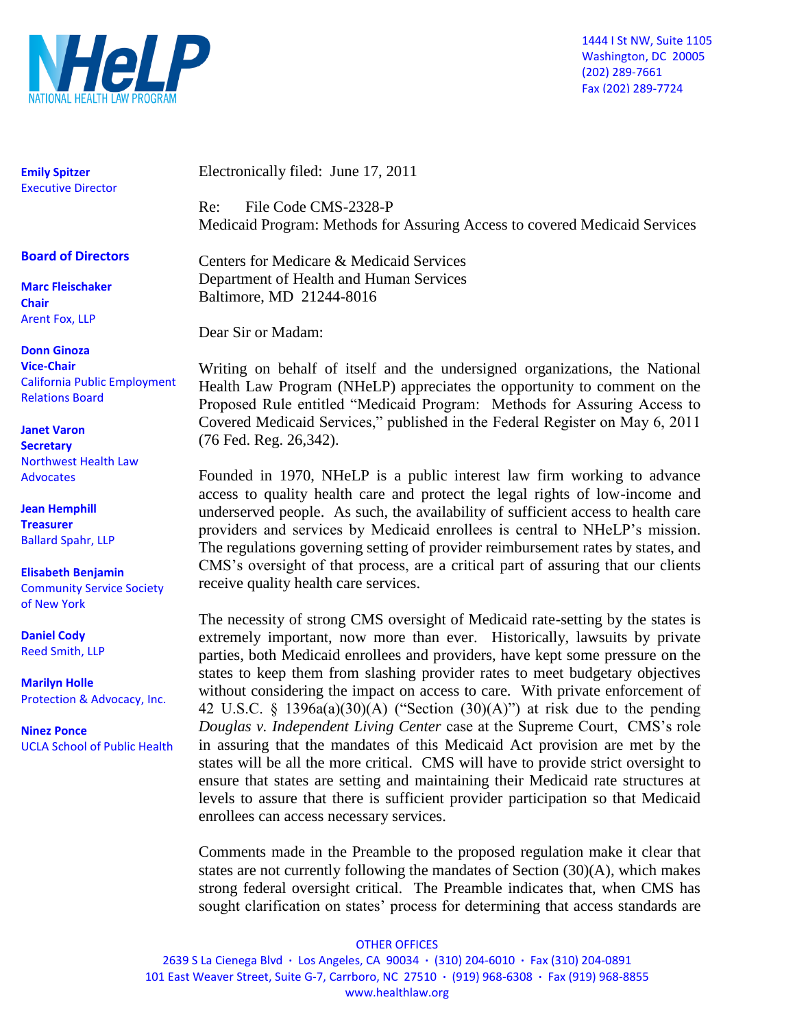

1444 I St NW, Suite 1105 Washington, DC 20005 (202) 289-7661 Fax (202) 289-7724

**Emily Spitzer** Executive Director

#### **Board of Directors**

**Marc Fleischaker Chair** Arent Fox, LLP

**Donn Ginoza Vice-Chair** California Public Employment Relations Board

**Janet Varon Secretary** Northwest Health Law **Advocates** 

**Jean Hemphill Treasurer** Ballard Spahr, LLP

**Elisabeth Benjamin**  Community Service Society of New York

**Daniel Cody** Reed Smith, LLP

**Marilyn Holle** Protection & Advocacy, Inc.

**Ninez Ponce** UCLA School of Public Health Electronically filed: June 17, 2011

Re: File Code CMS-2328-P Medicaid Program: Methods for Assuring Access to covered Medicaid Services

Centers for Medicare & Medicaid Services Department of Health and Human Services Baltimore, MD 21244-8016

Dear Sir or Madam:

Writing on behalf of itself and the undersigned organizations, the National Health Law Program (NHeLP) appreciates the opportunity to comment on the Proposed Rule entitled "Medicaid Program: Methods for Assuring Access to Covered Medicaid Services," published in the Federal Register on May 6, 2011 (76 Fed. Reg. 26,342).

Founded in 1970, NHeLP is a public interest law firm working to advance access to quality health care and protect the legal rights of low-income and underserved people. As such, the availability of sufficient access to health care providers and services by Medicaid enrollees is central to NHeLP's mission. The regulations governing setting of provider reimbursement rates by states, and CMS's oversight of that process, are a critical part of assuring that our clients receive quality health care services.

The necessity of strong CMS oversight of Medicaid rate-setting by the states is extremely important, now more than ever. Historically, lawsuits by private parties, both Medicaid enrollees and providers, have kept some pressure on the states to keep them from slashing provider rates to meet budgetary objectives without considering the impact on access to care. With private enforcement of 42 U.S.C. § 1396a(a)(30)(A) ("Section (30)(A)") at risk due to the pending *Douglas v. Independent Living Center* case at the Supreme Court, CMS's role in assuring that the mandates of this Medicaid Act provision are met by the states will be all the more critical. CMS will have to provide strict oversight to ensure that states are setting and maintaining their Medicaid rate structures at levels to assure that there is sufficient provider participation so that Medicaid enrollees can access necessary services.

Comments made in the Preamble to the proposed regulation make it clear that states are not currently following the mandates of Section (30)(A), which makes strong federal oversight critical. The Preamble indicates that, when CMS has sought clarification on states' process for determining that access standards are

#### OTHER OFFICES

2639 S La Cienega Blvd **·** Los Angeles, CA 90034 **·** (310) 204-6010 **·** Fax (310) 204-0891 101 East Weaver Street, Suite G-7, Carrboro, NC 27510 **·** (919) 968-6308 **·** Fax (919) 968-8855 www.healthlaw.org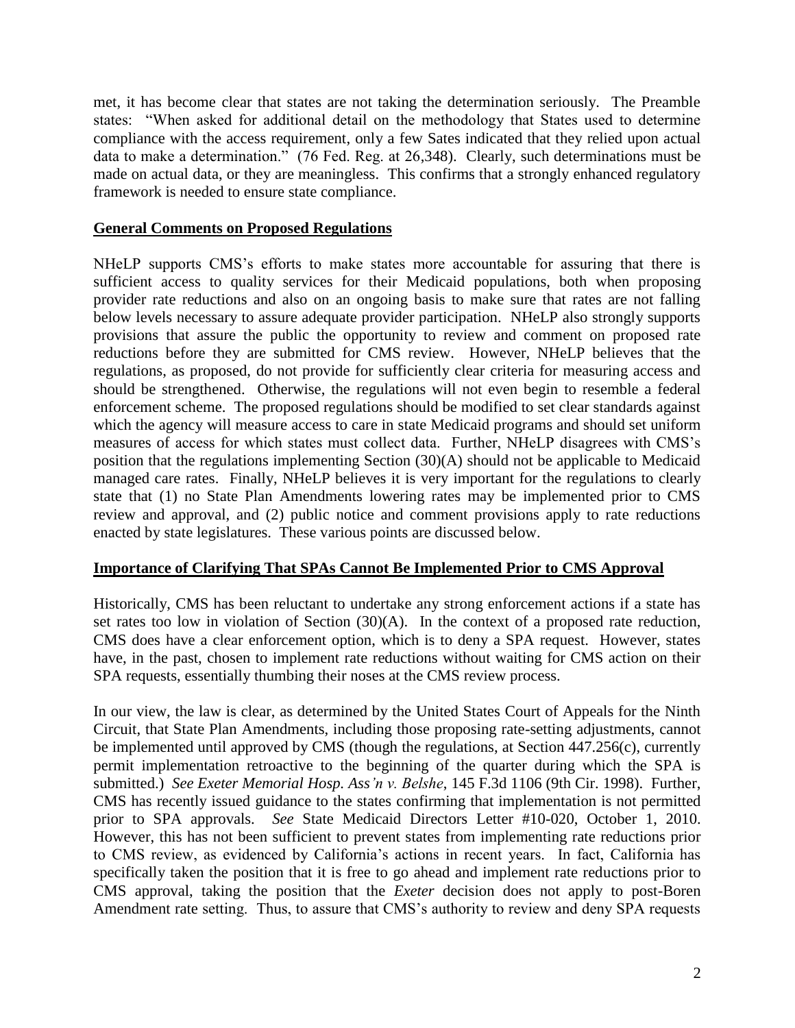met, it has become clear that states are not taking the determination seriously. The Preamble states: "When asked for additional detail on the methodology that States used to determine compliance with the access requirement, only a few Sates indicated that they relied upon actual data to make a determination." (76 Fed. Reg. at 26,348). Clearly, such determinations must be made on actual data, or they are meaningless. This confirms that a strongly enhanced regulatory framework is needed to ensure state compliance.

#### **General Comments on Proposed Regulations**

NHeLP supports CMS's efforts to make states more accountable for assuring that there is sufficient access to quality services for their Medicaid populations, both when proposing provider rate reductions and also on an ongoing basis to make sure that rates are not falling below levels necessary to assure adequate provider participation. NHeLP also strongly supports provisions that assure the public the opportunity to review and comment on proposed rate reductions before they are submitted for CMS review. However, NHeLP believes that the regulations, as proposed, do not provide for sufficiently clear criteria for measuring access and should be strengthened. Otherwise, the regulations will not even begin to resemble a federal enforcement scheme. The proposed regulations should be modified to set clear standards against which the agency will measure access to care in state Medicaid programs and should set uniform measures of access for which states must collect data. Further, NHeLP disagrees with CMS's position that the regulations implementing Section (30)(A) should not be applicable to Medicaid managed care rates. Finally, NHeLP believes it is very important for the regulations to clearly state that (1) no State Plan Amendments lowering rates may be implemented prior to CMS review and approval, and (2) public notice and comment provisions apply to rate reductions enacted by state legislatures. These various points are discussed below.

#### **Importance of Clarifying That SPAs Cannot Be Implemented Prior to CMS Approval**

Historically, CMS has been reluctant to undertake any strong enforcement actions if a state has set rates too low in violation of Section (30)(A). In the context of a proposed rate reduction, CMS does have a clear enforcement option, which is to deny a SPA request. However, states have, in the past, chosen to implement rate reductions without waiting for CMS action on their SPA requests, essentially thumbing their noses at the CMS review process.

In our view, the law is clear, as determined by the United States Court of Appeals for the Ninth Circuit, that State Plan Amendments, including those proposing rate-setting adjustments, cannot be implemented until approved by CMS (though the regulations, at Section 447.256(c), currently permit implementation retroactive to the beginning of the quarter during which the SPA is submitted.) *See Exeter Memorial Hosp. Ass'n v. Belshe*, 145 F.3d 1106 (9th Cir. 1998). Further, CMS has recently issued guidance to the states confirming that implementation is not permitted prior to SPA approvals. *See* State Medicaid Directors Letter #10-020, October 1, 2010. However, this has not been sufficient to prevent states from implementing rate reductions prior to CMS review, as evidenced by California's actions in recent years. In fact, California has specifically taken the position that it is free to go ahead and implement rate reductions prior to CMS approval, taking the position that the *Exeter* decision does not apply to post-Boren Amendment rate setting. Thus, to assure that CMS's authority to review and deny SPA requests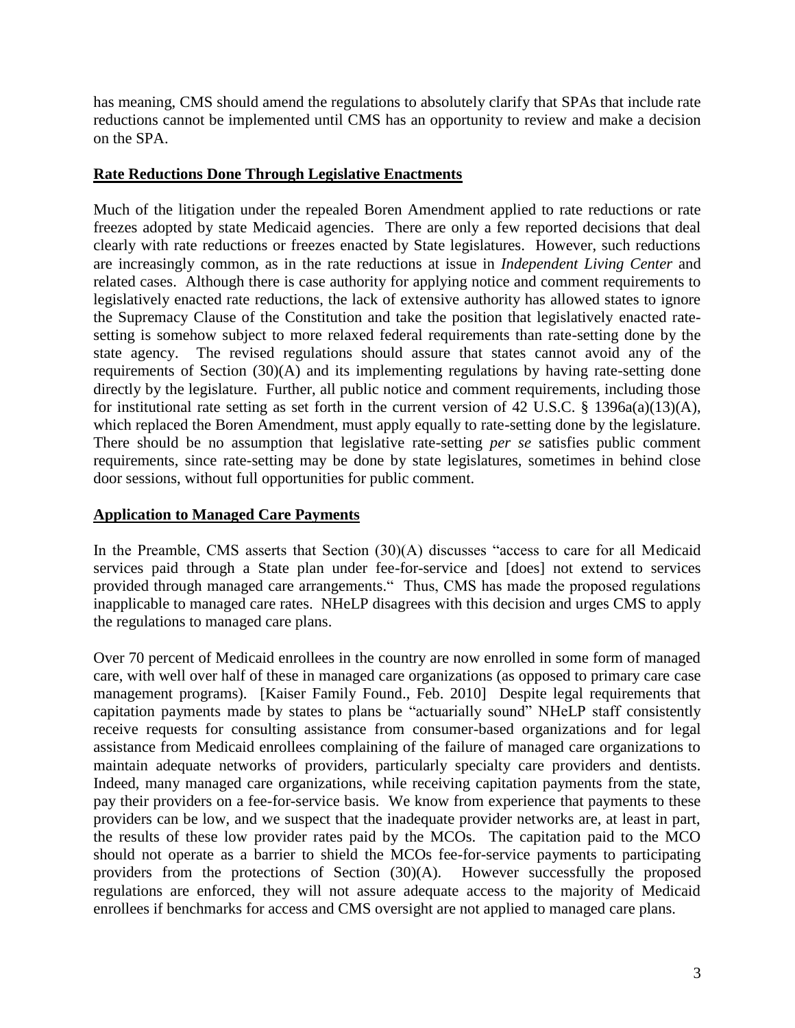has meaning, CMS should amend the regulations to absolutely clarify that SPAs that include rate reductions cannot be implemented until CMS has an opportunity to review and make a decision on the SPA.

#### **Rate Reductions Done Through Legislative Enactments**

Much of the litigation under the repealed Boren Amendment applied to rate reductions or rate freezes adopted by state Medicaid agencies. There are only a few reported decisions that deal clearly with rate reductions or freezes enacted by State legislatures. However, such reductions are increasingly common, as in the rate reductions at issue in *Independent Living Center* and related cases. Although there is case authority for applying notice and comment requirements to legislatively enacted rate reductions, the lack of extensive authority has allowed states to ignore the Supremacy Clause of the Constitution and take the position that legislatively enacted ratesetting is somehow subject to more relaxed federal requirements than rate-setting done by the state agency. The revised regulations should assure that states cannot avoid any of the requirements of Section (30)(A) and its implementing regulations by having rate-setting done directly by the legislature. Further, all public notice and comment requirements, including those for institutional rate setting as set forth in the current version of 42 U.S.C. § 1396a(a)(13)(A), which replaced the Boren Amendment, must apply equally to rate-setting done by the legislature. There should be no assumption that legislative rate-setting *per se* satisfies public comment requirements, since rate-setting may be done by state legislatures, sometimes in behind close door sessions, without full opportunities for public comment.

## **Application to Managed Care Payments**

In the Preamble, CMS asserts that Section  $(30)(A)$  discusses "access to care for all Medicaid services paid through a State plan under fee-for-service and [does] not extend to services provided through managed care arrangements. Thus, CMS has made the proposed regulations inapplicable to managed care rates. NHeLP disagrees with this decision and urges CMS to apply the regulations to managed care plans.

Over 70 percent of Medicaid enrollees in the country are now enrolled in some form of managed care, with well over half of these in managed care organizations (as opposed to primary care case management programs). [Kaiser Family Found., Feb. 2010] Despite legal requirements that capitation payments made by states to plans be "actuarially sound" NHeLP staff consistently receive requests for consulting assistance from consumer-based organizations and for legal assistance from Medicaid enrollees complaining of the failure of managed care organizations to maintain adequate networks of providers, particularly specialty care providers and dentists. Indeed, many managed care organizations, while receiving capitation payments from the state, pay their providers on a fee-for-service basis. We know from experience that payments to these providers can be low, and we suspect that the inadequate provider networks are, at least in part, the results of these low provider rates paid by the MCOs. The capitation paid to the MCO should not operate as a barrier to shield the MCOs fee-for-service payments to participating providers from the protections of Section (30)(A). However successfully the proposed regulations are enforced, they will not assure adequate access to the majority of Medicaid enrollees if benchmarks for access and CMS oversight are not applied to managed care plans.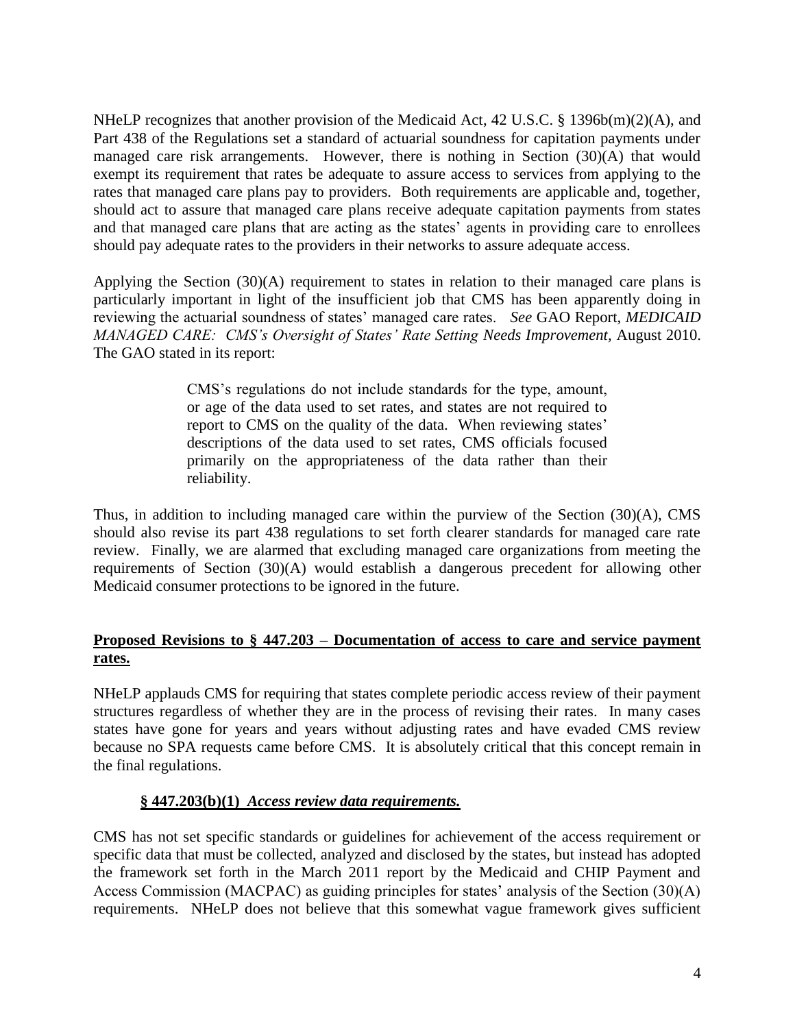NHeLP recognizes that another provision of the Medicaid Act, 42 U.S.C. § 1396b(m)(2)(A), and Part 438 of the Regulations set a standard of actuarial soundness for capitation payments under managed care risk arrangements. However, there is nothing in Section (30)(A) that would exempt its requirement that rates be adequate to assure access to services from applying to the rates that managed care plans pay to providers. Both requirements are applicable and, together, should act to assure that managed care plans receive adequate capitation payments from states and that managed care plans that are acting as the states' agents in providing care to enrollees should pay adequate rates to the providers in their networks to assure adequate access.

Applying the Section (30)(A) requirement to states in relation to their managed care plans is particularly important in light of the insufficient job that CMS has been apparently doing in reviewing the actuarial soundness of states' managed care rates. *See* GAO Report, *MEDICAID MANAGED CARE: CMS's Oversight of States' Rate Setting Needs Improvement, August 2010.* The GAO stated in its report:

> CMS's regulations do not include standards for the type, amount, or age of the data used to set rates, and states are not required to report to CMS on the quality of the data. When reviewing states' descriptions of the data used to set rates, CMS officials focused primarily on the appropriateness of the data rather than their reliability.

Thus, in addition to including managed care within the purview of the Section (30)(A), CMS should also revise its part 438 regulations to set forth clearer standards for managed care rate review. Finally, we are alarmed that excluding managed care organizations from meeting the requirements of Section (30)(A) would establish a dangerous precedent for allowing other Medicaid consumer protections to be ignored in the future.

## **Proposed Revisions to § 447.203 – Documentation of access to care and service payment rates.**

NHeLP applauds CMS for requiring that states complete periodic access review of their payment structures regardless of whether they are in the process of revising their rates. In many cases states have gone for years and years without adjusting rates and have evaded CMS review because no SPA requests came before CMS. It is absolutely critical that this concept remain in the final regulations.

## **§ 447.203(b)(1)** *Access review data requirements.*

CMS has not set specific standards or guidelines for achievement of the access requirement or specific data that must be collected, analyzed and disclosed by the states, but instead has adopted the framework set forth in the March 2011 report by the Medicaid and CHIP Payment and Access Commission (MACPAC) as guiding principles for states' analysis of the Section (30)(A) requirements. NHeLP does not believe that this somewhat vague framework gives sufficient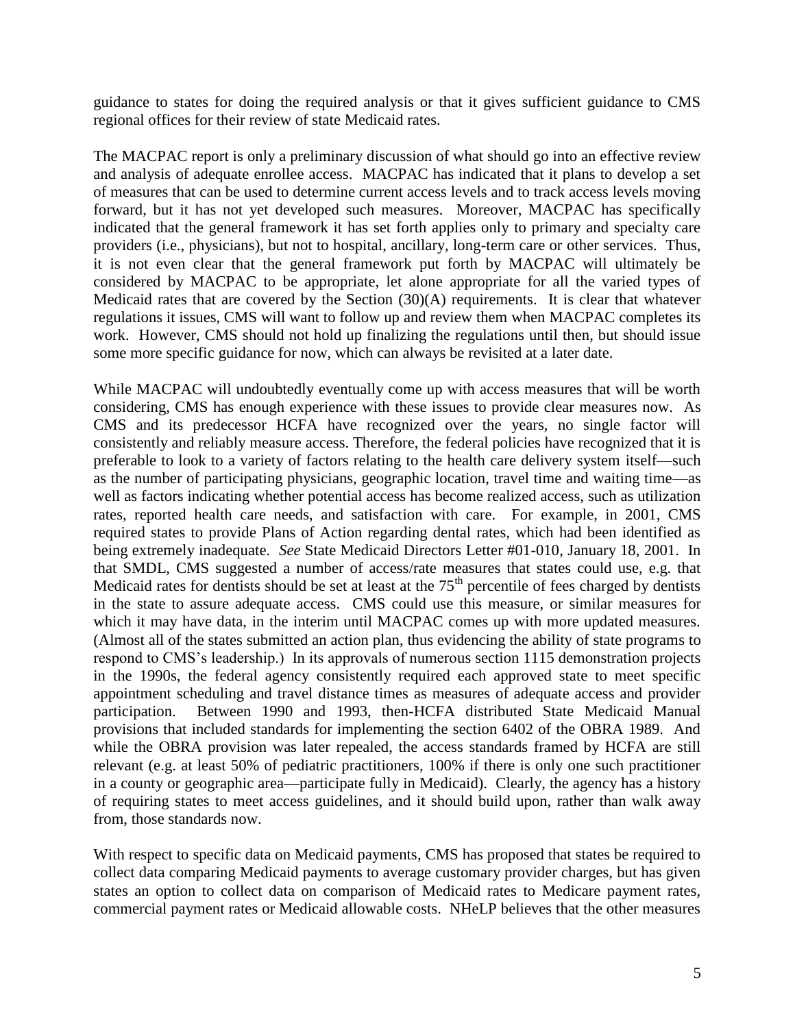guidance to states for doing the required analysis or that it gives sufficient guidance to CMS regional offices for their review of state Medicaid rates.

The MACPAC report is only a preliminary discussion of what should go into an effective review and analysis of adequate enrollee access. MACPAC has indicated that it plans to develop a set of measures that can be used to determine current access levels and to track access levels moving forward, but it has not yet developed such measures. Moreover, MACPAC has specifically indicated that the general framework it has set forth applies only to primary and specialty care providers (i.e., physicians), but not to hospital, ancillary, long-term care or other services. Thus, it is not even clear that the general framework put forth by MACPAC will ultimately be considered by MACPAC to be appropriate, let alone appropriate for all the varied types of Medicaid rates that are covered by the Section (30)(A) requirements. It is clear that whatever regulations it issues, CMS will want to follow up and review them when MACPAC completes its work. However, CMS should not hold up finalizing the regulations until then, but should issue some more specific guidance for now, which can always be revisited at a later date.

While MACPAC will undoubtedly eventually come up with access measures that will be worth considering, CMS has enough experience with these issues to provide clear measures now. As CMS and its predecessor HCFA have recognized over the years, no single factor will consistently and reliably measure access. Therefore, the federal policies have recognized that it is preferable to look to a variety of factors relating to the health care delivery system itself—such as the number of participating physicians, geographic location, travel time and waiting time—as well as factors indicating whether potential access has become realized access, such as utilization rates, reported health care needs, and satisfaction with care. For example, in 2001, CMS required states to provide Plans of Action regarding dental rates, which had been identified as being extremely inadequate. *See* State Medicaid Directors Letter #01-010, January 18, 2001. In that SMDL, CMS suggested a number of access/rate measures that states could use, e.g. that Medicaid rates for dentists should be set at least at the  $75<sup>th</sup>$  percentile of fees charged by dentists in the state to assure adequate access. CMS could use this measure, or similar measures for which it may have data, in the interim until MACPAC comes up with more updated measures. (Almost all of the states submitted an action plan, thus evidencing the ability of state programs to respond to CMS's leadership.) In its approvals of numerous section 1115 demonstration projects in the 1990s, the federal agency consistently required each approved state to meet specific appointment scheduling and travel distance times as measures of adequate access and provider participation. Between 1990 and 1993, then-HCFA distributed State Medicaid Manual provisions that included standards for implementing the section 6402 of the OBRA 1989. And while the OBRA provision was later repealed, the access standards framed by HCFA are still relevant (e.g. at least 50% of pediatric practitioners, 100% if there is only one such practitioner in a county or geographic area—participate fully in Medicaid). Clearly, the agency has a history of requiring states to meet access guidelines, and it should build upon, rather than walk away from, those standards now.

With respect to specific data on Medicaid payments, CMS has proposed that states be required to collect data comparing Medicaid payments to average customary provider charges, but has given states an option to collect data on comparison of Medicaid rates to Medicare payment rates, commercial payment rates or Medicaid allowable costs. NHeLP believes that the other measures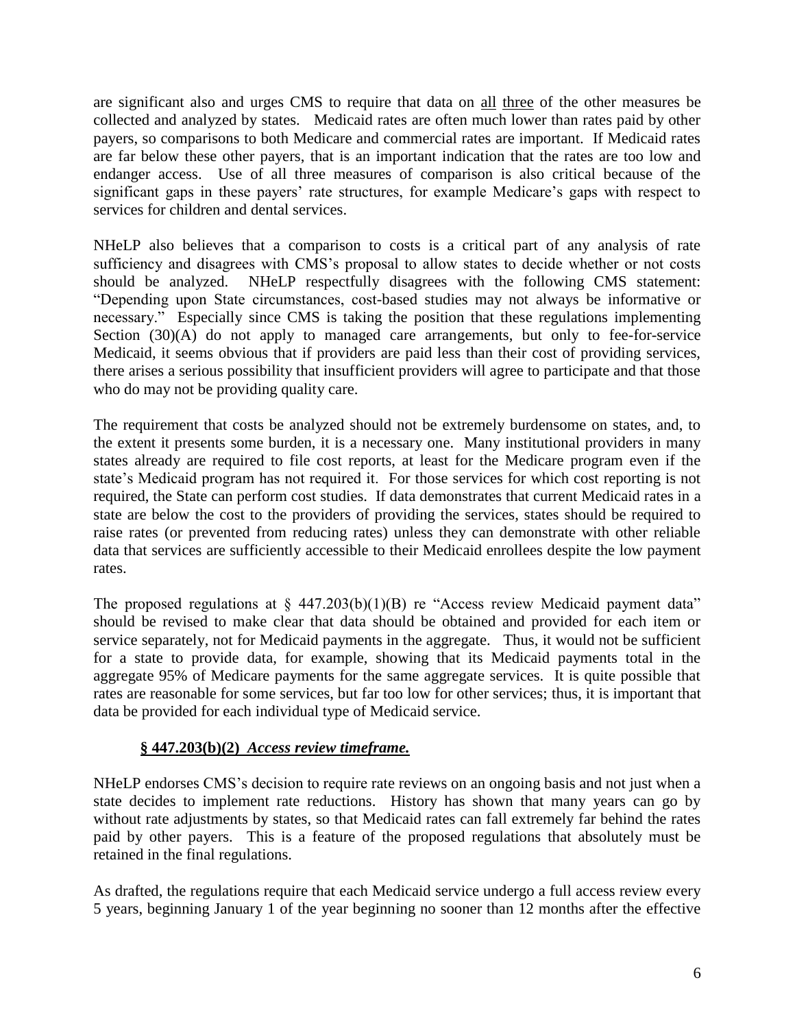are significant also and urges CMS to require that data on all three of the other measures be collected and analyzed by states. Medicaid rates are often much lower than rates paid by other payers, so comparisons to both Medicare and commercial rates are important. If Medicaid rates are far below these other payers, that is an important indication that the rates are too low and endanger access. Use of all three measures of comparison is also critical because of the significant gaps in these payers' rate structures, for example Medicare's gaps with respect to services for children and dental services.

NHeLP also believes that a comparison to costs is a critical part of any analysis of rate sufficiency and disagrees with CMS's proposal to allow states to decide whether or not costs should be analyzed. NHeLP respectfully disagrees with the following CMS statement: ―Depending upon State circumstances, cost-based studies may not always be informative or necessary." Especially since CMS is taking the position that these regulations implementing Section (30)(A) do not apply to managed care arrangements, but only to fee-for-service Medicaid, it seems obvious that if providers are paid less than their cost of providing services, there arises a serious possibility that insufficient providers will agree to participate and that those who do may not be providing quality care.

The requirement that costs be analyzed should not be extremely burdensome on states, and, to the extent it presents some burden, it is a necessary one. Many institutional providers in many states already are required to file cost reports, at least for the Medicare program even if the state's Medicaid program has not required it. For those services for which cost reporting is not required, the State can perform cost studies. If data demonstrates that current Medicaid rates in a state are below the cost to the providers of providing the services, states should be required to raise rates (or prevented from reducing rates) unless they can demonstrate with other reliable data that services are sufficiently accessible to their Medicaid enrollees despite the low payment rates.

The proposed regulations at  $\S$  447.203(b)(1)(B) re "Access review Medicaid payment data" should be revised to make clear that data should be obtained and provided for each item or service separately, not for Medicaid payments in the aggregate. Thus, it would not be sufficient for a state to provide data, for example, showing that its Medicaid payments total in the aggregate 95% of Medicare payments for the same aggregate services. It is quite possible that rates are reasonable for some services, but far too low for other services; thus, it is important that data be provided for each individual type of Medicaid service.

## **§ 447.203(b)(2)** *Access review timeframe.*

NHeLP endorses CMS's decision to require rate reviews on an ongoing basis and not just when a state decides to implement rate reductions. History has shown that many years can go by without rate adjustments by states, so that Medicaid rates can fall extremely far behind the rates paid by other payers. This is a feature of the proposed regulations that absolutely must be retained in the final regulations.

As drafted, the regulations require that each Medicaid service undergo a full access review every 5 years, beginning January 1 of the year beginning no sooner than 12 months after the effective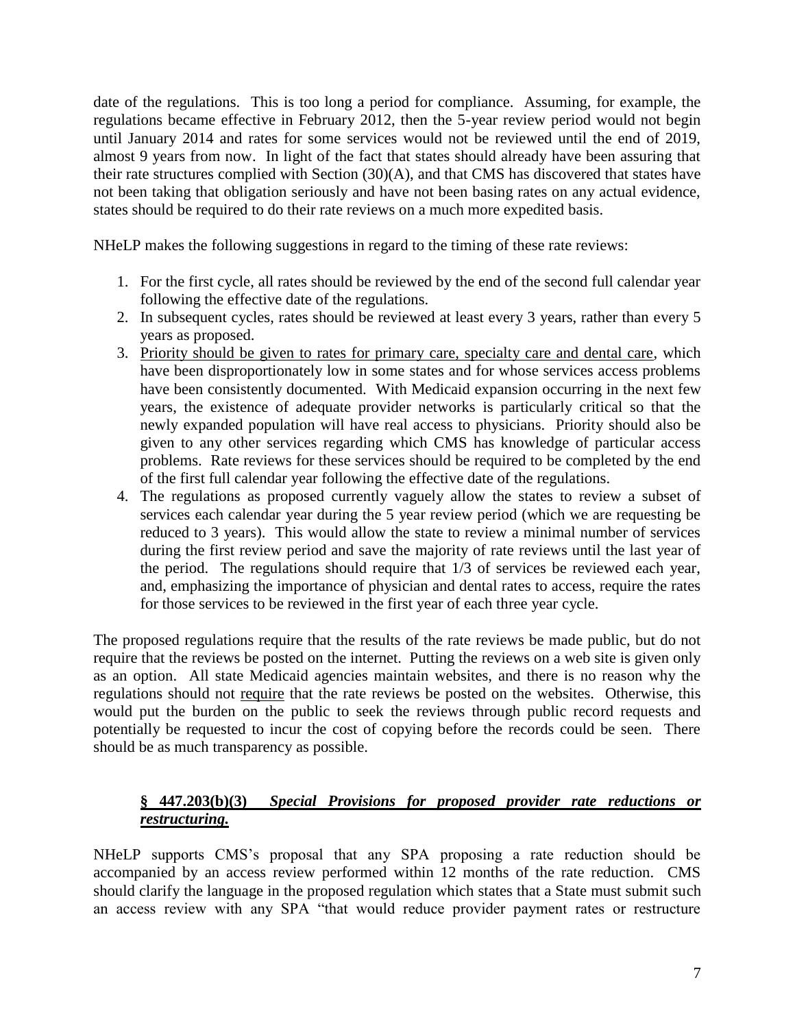date of the regulations. This is too long a period for compliance. Assuming, for example, the regulations became effective in February 2012, then the 5-year review period would not begin until January 2014 and rates for some services would not be reviewed until the end of 2019, almost 9 years from now. In light of the fact that states should already have been assuring that their rate structures complied with Section (30)(A), and that CMS has discovered that states have not been taking that obligation seriously and have not been basing rates on any actual evidence, states should be required to do their rate reviews on a much more expedited basis.

NHeLP makes the following suggestions in regard to the timing of these rate reviews:

- 1. For the first cycle, all rates should be reviewed by the end of the second full calendar year following the effective date of the regulations.
- 2. In subsequent cycles, rates should be reviewed at least every 3 years, rather than every 5 years as proposed.
- 3. Priority should be given to rates for primary care, specialty care and dental care, which have been disproportionately low in some states and for whose services access problems have been consistently documented. With Medicaid expansion occurring in the next few years, the existence of adequate provider networks is particularly critical so that the newly expanded population will have real access to physicians. Priority should also be given to any other services regarding which CMS has knowledge of particular access problems. Rate reviews for these services should be required to be completed by the end of the first full calendar year following the effective date of the regulations.
- 4. The regulations as proposed currently vaguely allow the states to review a subset of services each calendar year during the 5 year review period (which we are requesting be reduced to 3 years). This would allow the state to review a minimal number of services during the first review period and save the majority of rate reviews until the last year of the period. The regulations should require that 1/3 of services be reviewed each year, and, emphasizing the importance of physician and dental rates to access, require the rates for those services to be reviewed in the first year of each three year cycle.

The proposed regulations require that the results of the rate reviews be made public, but do not require that the reviews be posted on the internet. Putting the reviews on a web site is given only as an option. All state Medicaid agencies maintain websites, and there is no reason why the regulations should not require that the rate reviews be posted on the websites. Otherwise, this would put the burden on the public to seek the reviews through public record requests and potentially be requested to incur the cost of copying before the records could be seen. There should be as much transparency as possible.

# **§ 447.203(b)(3)** *Special Provisions for proposed provider rate reductions or restructuring.*

NHeLP supports CMS's proposal that any SPA proposing a rate reduction should be accompanied by an access review performed within 12 months of the rate reduction. CMS should clarify the language in the proposed regulation which states that a State must submit such an access review with any SPA "that would reduce provider payment rates or restructure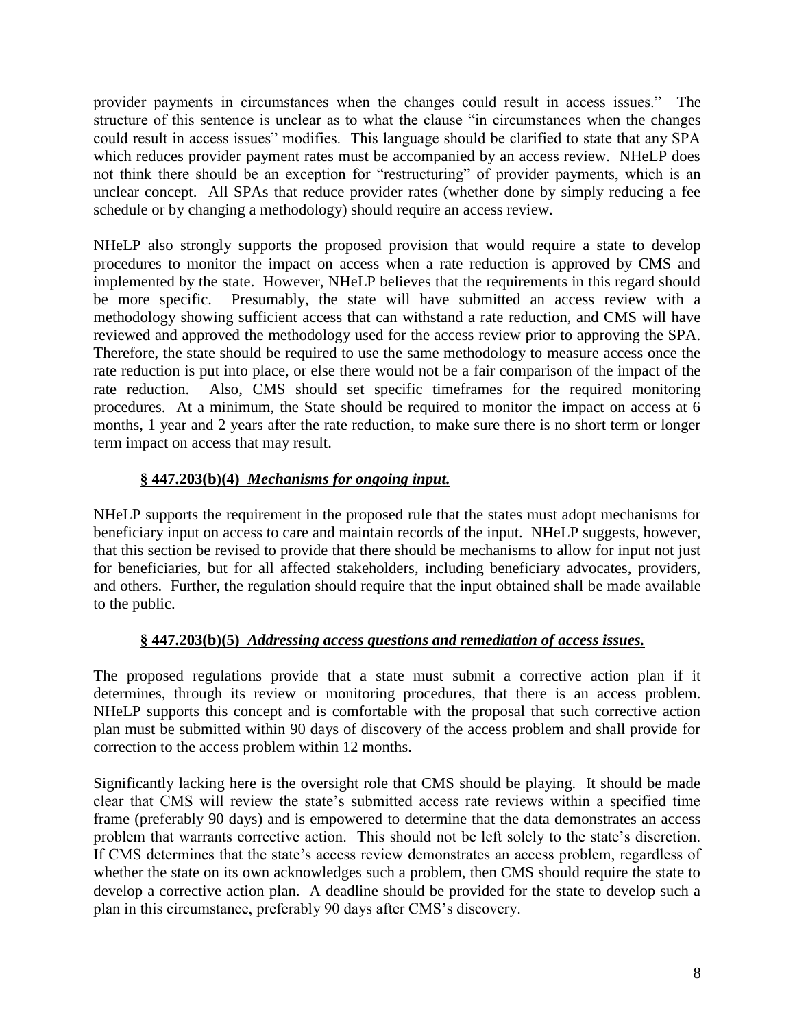provider payments in circumstances when the changes could result in access issues." The structure of this sentence is unclear as to what the clause "in circumstances when the changes" could result in access issues" modifies. This language should be clarified to state that any SPA which reduces provider payment rates must be accompanied by an access review. NHeLP does not think there should be an exception for "restructuring" of provider payments, which is an unclear concept. All SPAs that reduce provider rates (whether done by simply reducing a fee schedule or by changing a methodology) should require an access review.

NHeLP also strongly supports the proposed provision that would require a state to develop procedures to monitor the impact on access when a rate reduction is approved by CMS and implemented by the state. However, NHeLP believes that the requirements in this regard should be more specific. Presumably, the state will have submitted an access review with a methodology showing sufficient access that can withstand a rate reduction, and CMS will have reviewed and approved the methodology used for the access review prior to approving the SPA. Therefore, the state should be required to use the same methodology to measure access once the rate reduction is put into place, or else there would not be a fair comparison of the impact of the rate reduction. Also, CMS should set specific timeframes for the required monitoring procedures. At a minimum, the State should be required to monitor the impact on access at 6 months, 1 year and 2 years after the rate reduction, to make sure there is no short term or longer term impact on access that may result.

# **§ 447.203(b)(4)** *Mechanisms for ongoing input.*

NHeLP supports the requirement in the proposed rule that the states must adopt mechanisms for beneficiary input on access to care and maintain records of the input. NHeLP suggests, however, that this section be revised to provide that there should be mechanisms to allow for input not just for beneficiaries, but for all affected stakeholders, including beneficiary advocates, providers, and others. Further, the regulation should require that the input obtained shall be made available to the public.

# **§ 447.203(b)(5)** *Addressing access questions and remediation of access issues.*

The proposed regulations provide that a state must submit a corrective action plan if it determines, through its review or monitoring procedures, that there is an access problem. NHeLP supports this concept and is comfortable with the proposal that such corrective action plan must be submitted within 90 days of discovery of the access problem and shall provide for correction to the access problem within 12 months.

Significantly lacking here is the oversight role that CMS should be playing. It should be made clear that CMS will review the state's submitted access rate reviews within a specified time frame (preferably 90 days) and is empowered to determine that the data demonstrates an access problem that warrants corrective action. This should not be left solely to the state's discretion. If CMS determines that the state's access review demonstrates an access problem, regardless of whether the state on its own acknowledges such a problem, then CMS should require the state to develop a corrective action plan. A deadline should be provided for the state to develop such a plan in this circumstance, preferably 90 days after CMS's discovery.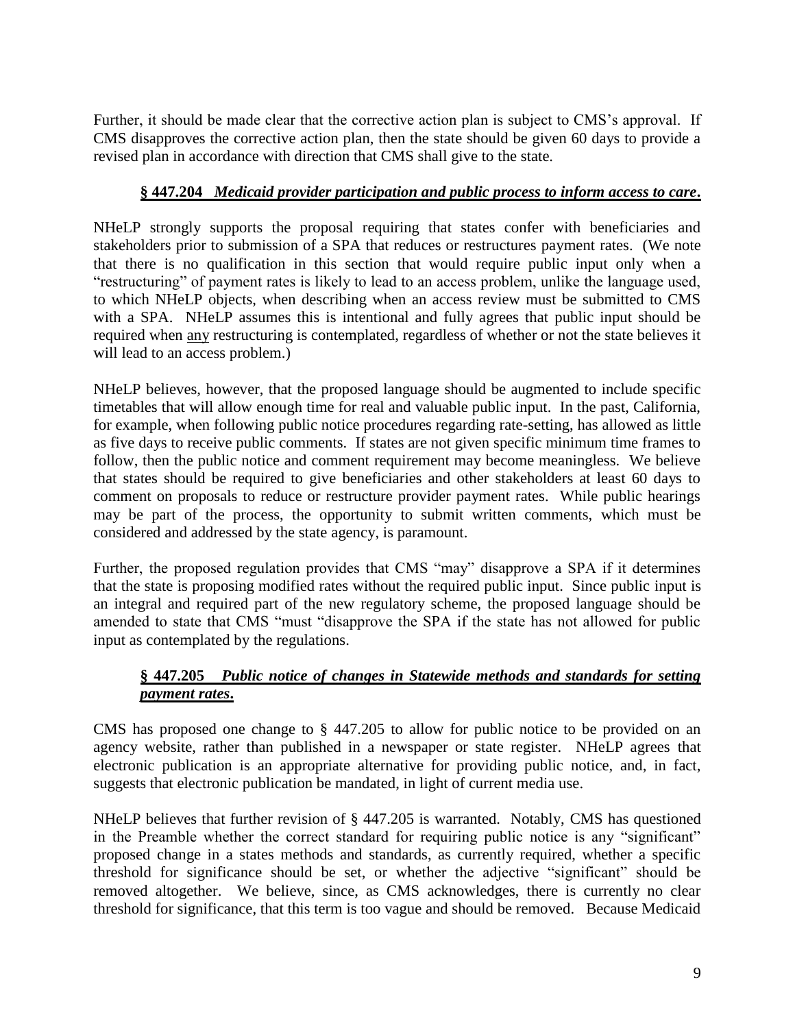Further, it should be made clear that the corrective action plan is subject to CMS's approval. If CMS disapproves the corrective action plan, then the state should be given 60 days to provide a revised plan in accordance with direction that CMS shall give to the state.

## **§ 447.204** *Medicaid provider participation and public process to inform access to care***.**

NHeLP strongly supports the proposal requiring that states confer with beneficiaries and stakeholders prior to submission of a SPA that reduces or restructures payment rates. (We note that there is no qualification in this section that would require public input only when a "restructuring" of payment rates is likely to lead to an access problem, unlike the language used, to which NHeLP objects, when describing when an access review must be submitted to CMS with a SPA. NHeLP assumes this is intentional and fully agrees that public input should be required when any restructuring is contemplated, regardless of whether or not the state believes it will lead to an access problem.)

NHeLP believes, however, that the proposed language should be augmented to include specific timetables that will allow enough time for real and valuable public input. In the past, California, for example, when following public notice procedures regarding rate-setting, has allowed as little as five days to receive public comments. If states are not given specific minimum time frames to follow, then the public notice and comment requirement may become meaningless. We believe that states should be required to give beneficiaries and other stakeholders at least 60 days to comment on proposals to reduce or restructure provider payment rates. While public hearings may be part of the process, the opportunity to submit written comments, which must be considered and addressed by the state agency, is paramount.

Further, the proposed regulation provides that CMS "may" disapprove a SPA if it determines that the state is proposing modified rates without the required public input. Since public input is an integral and required part of the new regulatory scheme, the proposed language should be amended to state that CMS "must "disapprove the SPA if the state has not allowed for public input as contemplated by the regulations.

## **§ 447.205** *Public notice of changes in Statewide methods and standards for setting payment rates***.**

CMS has proposed one change to § 447.205 to allow for public notice to be provided on an agency website, rather than published in a newspaper or state register. NHeLP agrees that electronic publication is an appropriate alternative for providing public notice, and, in fact, suggests that electronic publication be mandated, in light of current media use.

NHeLP believes that further revision of § 447.205 is warranted. Notably, CMS has questioned in the Preamble whether the correct standard for requiring public notice is any "significant" proposed change in a states methods and standards, as currently required, whether a specific threshold for significance should be set, or whether the adjective "significant" should be removed altogether. We believe, since, as CMS acknowledges, there is currently no clear threshold for significance, that this term is too vague and should be removed. Because Medicaid